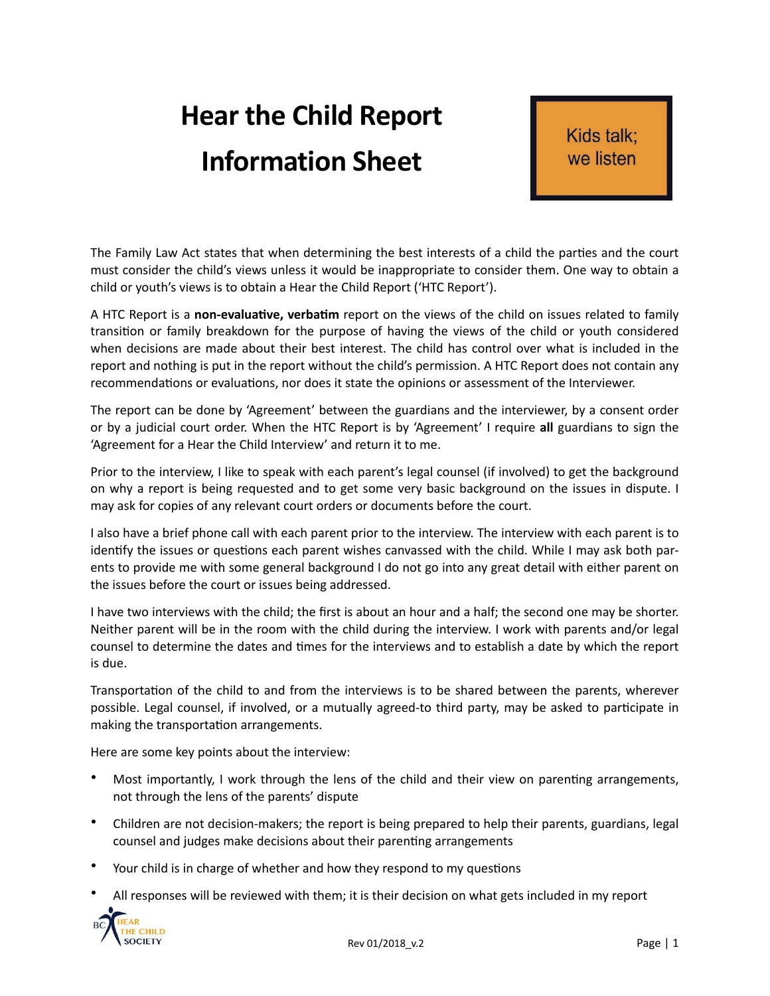## **Hear the Child Report Information Sheet**

Kids talk: we listen

The Family Law Act states that when determining the best interests of a child the parties and the court must consider the child's views unless it would be inappropriate to consider them. One way to obtain a child or youth's views is to obtain a Hear the Child Report ('HTC Report').

A HTC Report is a **non-evaluative, verbatim** report on the views of the child on issues related to family transition or family breakdown for the purpose of having the views of the child or youth considered when decisions are made about their best interest. The child has control over what is included in the report and nothing is put in the report without the child's permission. A HTC Report does not contain any recommendations or evaluations, nor does it state the opinions or assessment of the Interviewer.

The report can be done by 'Agreement' between the guardians and the interviewer, by a consent order or by a judicial court order. When the HTC Report is by 'Agreement' I require all guardians to sign the 'Agreement for a Hear the Child Interview' and return it to me.

Prior to the interview, I like to speak with each parent's legal counsel (if involved) to get the background on why a report is being requested and to get some very basic background on the issues in dispute. I may ask for copies of any relevant court orders or documents before the court.

I also have a brief phone call with each parent prior to the interview. The interview with each parent is to identify the issues or questions each parent wishes canvassed with the child. While I may ask both parents to provide me with some general background I do not go into any great detail with either parent on the issues before the court or issues being addressed.

I have two interviews with the child; the first is about an hour and a half; the second one may be shorter. Neither parent will be in the room with the child during the interview. I work with parents and/or legal counsel to determine the dates and times for the interviews and to establish a date by which the report is due.

Transportation of the child to and from the interviews is to be shared between the parents, wherever possible. Legal counsel, if involved, or a mutually agreed-to third party, may be asked to participate in making the transportation arrangements.

Here are some key points about the interview:

- Most importantly, I work through the lens of the child and their view on parenting arrangements, not through the lens of the parents' dispute
- Children are not decision-makers; the report is being prepared to help their parents, guardians, legal counsel and judges make decisions about their parenting arrangements
- Your child is in charge of whether and how they respond to my questions
- All responses will be reviewed with them; it is their decision on what gets included in my report